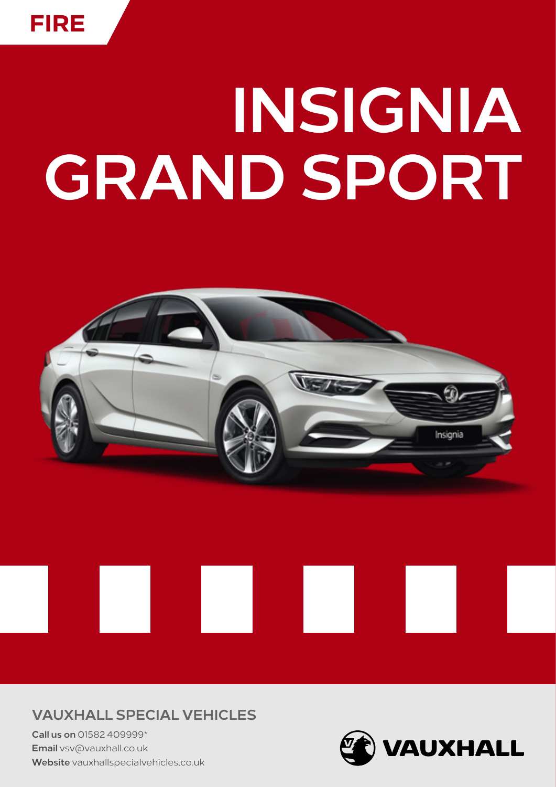# **INSIGNIA GRAND SPORT**



### **VAUXHALL SPECIAL VEHICLES**

**Call us on** 01582 409999\* **Email** vsv@vauxhall.co.uk **Website** [vauxhallspecialvehicles.co.uk](http://www.vauxhallspecialvehicles.co.uk)